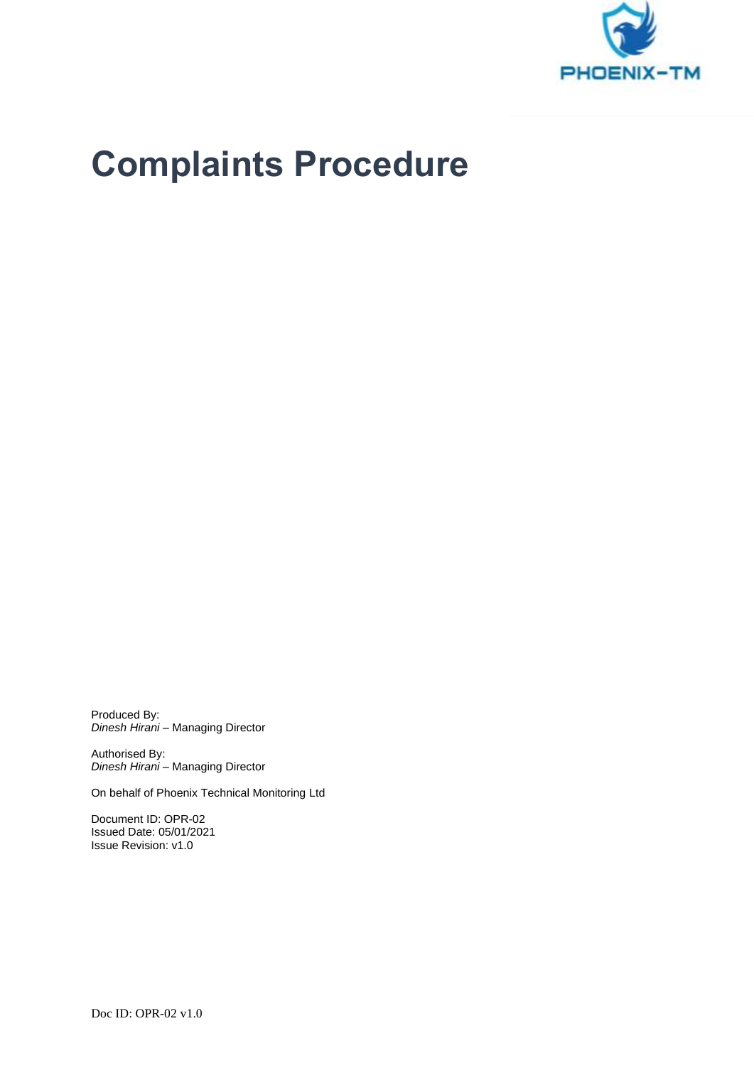

# **Complaints Procedure**

Produced By: *Dinesh Hirani* – Managing Director

Authorised By: *Dinesh Hirani* – Managing Director

On behalf of Phoenix Technical Monitoring Ltd

Document ID: OPR-02 Issued Date: 05/01/2021 Issue Revision: v1.0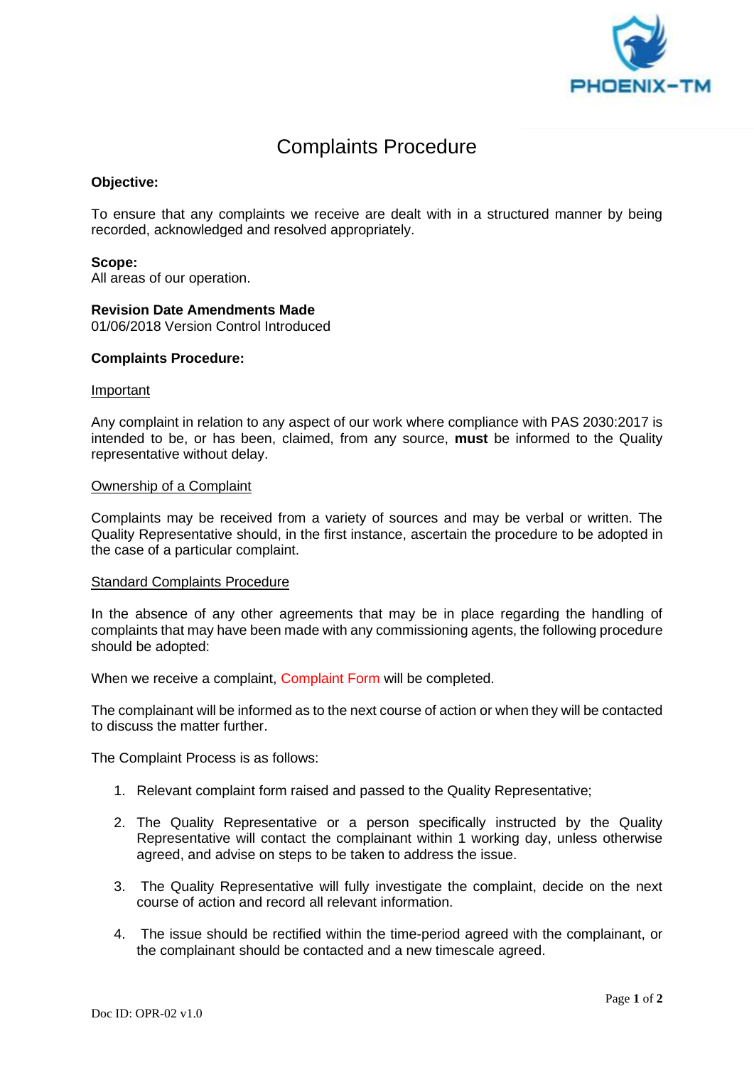

# Complaints Procedure

# **Objective:**

To ensure that any complaints we receive are dealt with in a structured manner by being recorded, acknowledged and resolved appropriately.

## **Scope:**

All areas of our operation.

## **Revision Date Amendments Made**

01/06/2018 Version Control Introduced

#### **Complaints Procedure:**

#### **Important**

Any complaint in relation to any aspect of our work where compliance with PAS 2030:2017 is intended to be, or has been, claimed, from any source, **must** be informed to the Quality representative without delay.

#### Ownership of a Complaint

Complaints may be received from a variety of sources and may be verbal or written. The Quality Representative should, in the first instance, ascertain the procedure to be adopted in the case of a particular complaint.

#### Standard Complaints Procedure

In the absence of any other agreements that may be in place regarding the handling of complaints that may have been made with any commissioning agents, the following procedure should be adopted:

When we receive a complaint, Complaint Form will be completed.

The complainant will be informed as to the next course of action or when they will be contacted to discuss the matter further.

The Complaint Process is as follows:

- 1. Relevant complaint form raised and passed to the Quality Representative;
- 2. The Quality Representative or a person specifically instructed by the Quality Representative will contact the complainant within 1 working day, unless otherwise agreed, and advise on steps to be taken to address the issue.
- 3. The Quality Representative will fully investigate the complaint, decide on the next course of action and record all relevant information.
- 4. The issue should be rectified within the time-period agreed with the complainant, or the complainant should be contacted and a new timescale agreed.